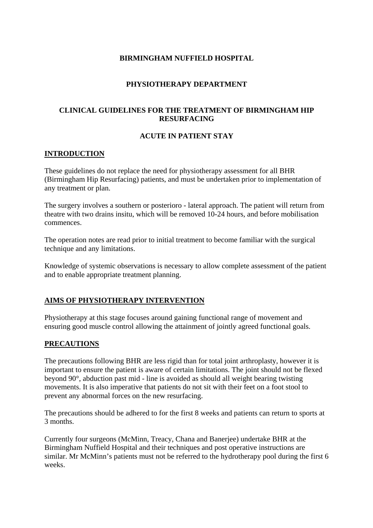#### **BIRMINGHAM NUFFIELD HOSPITAL**

## **PHYSIOTHERAPY DEPARTMENT**

#### **CLINICAL GUIDELINES FOR THE TREATMENT OF BIRMINGHAM HIP RESURFACING**

#### **ACUTE IN PATIENT STAY**

#### **INTRODUCTION**

These guidelines do not replace the need for physiotherapy assessment for all BHR (Birmingham Hip Resurfacing) patients, and must be undertaken prior to implementation of any treatment or plan.

The surgery involves a southern or posterioro - lateral approach. The patient will return from theatre with two drains insitu, which will be removed 10-24 hours, and before mobilisation commences.

The operation notes are read prior to initial treatment to become familiar with the surgical technique and any limitations.

Knowledge of systemic observations is necessary to allow complete assessment of the patient and to enable appropriate treatment planning.

## **AIMS OF PHYSIOTHERAPY INTERVENTION**

Physiotherapy at this stage focuses around gaining functional range of movement and ensuring good muscle control allowing the attainment of jointly agreed functional goals.

#### **PRECAUTIONS**

The precautions following BHR are less rigid than for total joint arthroplasty, however it is important to ensure the patient is aware of certain limitations. The joint should not be flexed beyond 90°, abduction past mid - line is avoided as should all weight bearing twisting movements. It is also imperative that patients do not sit with their feet on a foot stool to prevent any abnormal forces on the new resurfacing.

The precautions should be adhered to for the first 8 weeks and patients can return to sports at 3 months.

Currently four surgeons (McMinn, Treacy, Chana and Banerjee) undertake BHR at the Birmingham Nuffield Hospital and their techniques and post operative instructions are similar. Mr McMinn's patients must not be referred to the hydrotherapy pool during the first 6 weeks.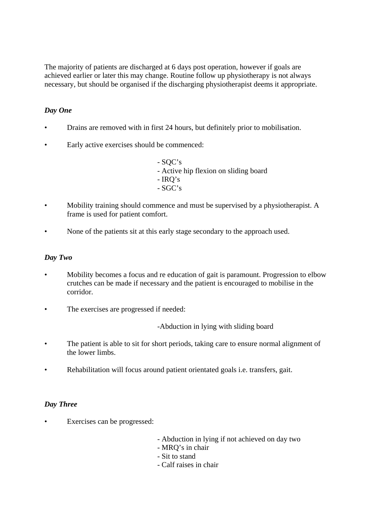The majority of patients are discharged at 6 days post operation, however if goals are achieved earlier or later this may change. Routine follow up physiotherapy is not always necessary, but should be organised if the discharging physiotherapist deems it appropriate.

# *Day One*

- Drains are removed with in first 24 hours, but definitely prior to mobilisation.
- Early active exercises should be commenced:
	- $-SOC's$ - Active hip flexion on sliding board - IRQ's - SGC's
- Mobility training should commence and must be supervised by a physiotherapist. A frame is used for patient comfort.
- None of the patients sit at this early stage secondary to the approach used.

#### *Day Two*

- Mobility becomes a focus and re education of gait is paramount. Progression to elbow crutches can be made if necessary and the patient is encouraged to mobilise in the corridor.
- The exercises are progressed if needed:

-Abduction in lying with sliding board

- The patient is able to sit for short periods, taking care to ensure normal alignment of the lower limbs.
- Rehabilitation will focus around patient orientated goals i.e. transfers, gait.

## *Day Three*

- Exercises can be progressed:
- Abduction in lying if not achieved on day two
- MRQ's in chair
- Sit to stand
- Calf raises in chair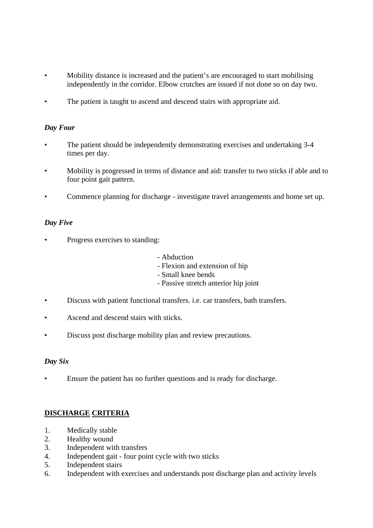- Mobility distance is increased and the patient's are encouraged to start mobilising independently in the corridor. Elbow crutches are issued if not done so on day two.
- The patient is taught to ascend and descend stairs with appropriate aid.

## *Day Four*

- The patient should be independently demonstrating exercises and undertaking 3-4 times per day.
- Mobility is progressed in terms of distance and aid: transfer to two sticks if able and to four point gait pattern.
- Commence planning for discharge investigate travel arrangements and home set up.

## *Day Five*

- Progress exercises to standing:
	- Abduction
	- Flexion and extension of hip
	- Small knee bends
	- Passive stretch anterior hip joint
- Discuss with patient functional transfers. i.e. car transfers, bath transfers.
- Ascend and descend stairs with sticks.
- Discuss post discharge mobility plan and review precautions.

#### *Day Six*

Ensure the patient has no further questions and is ready for discharge.

## **DISCHARGE CRITERIA**

- 1. Medically stable
- 2. Healthy wound
- 3. Independent with transfers
- 4. Independent gait four point cycle with two sticks
- 5. Independent stairs
- 6. Independent with exercises and understands post discharge plan and activity levels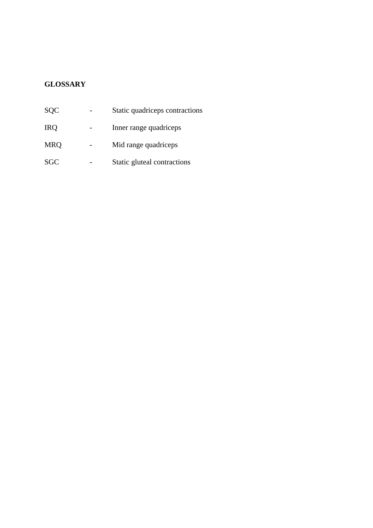# **GLOSSARY**

| <b>SQC</b> | Static quadriceps contractions |
|------------|--------------------------------|
| <b>IRQ</b> | Inner range quadriceps         |
| <b>MRQ</b> | Mid range quadriceps           |
| <b>SGC</b> | Static gluteal contractions    |